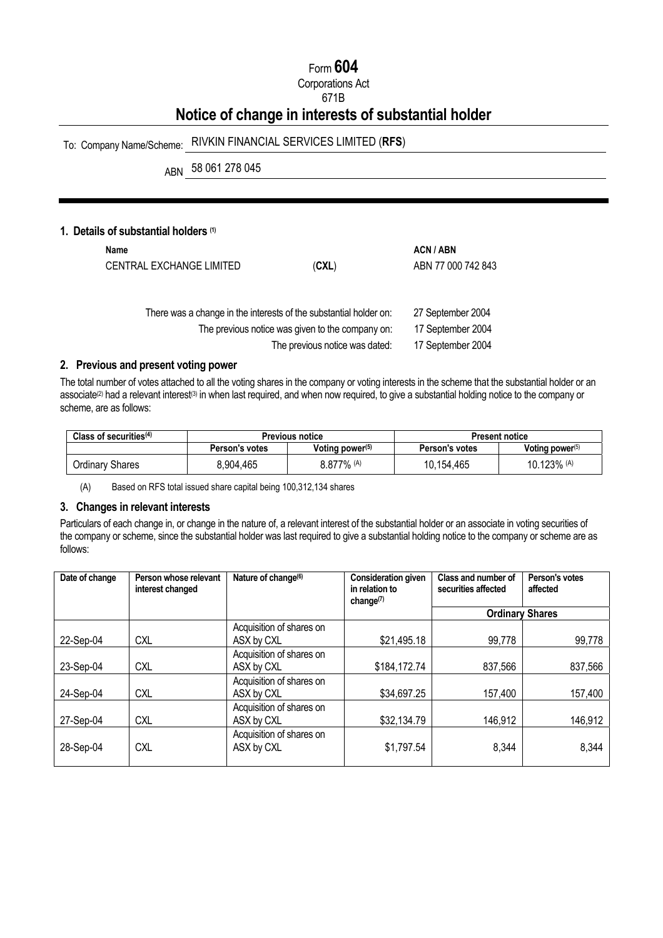## Form **604**

Corporations Act

## 671B

# **Notice of change in interests of substantial holder**

## To: Company Name/Scheme: RIVKIN FINANCIAL SERVICES LIMITED (**RFS**)

ABN 58 061 278 045

## **1. Details of substantial holders (1)**

| Name<br>CENTRAL EXCHANGE LIMITED | (CXL)                                                             | ACN / ABN<br>ABN 77 000 742 843 |
|----------------------------------|-------------------------------------------------------------------|---------------------------------|
|                                  | There was a change in the interests of the substantial holder on: | 27 September 2004               |
|                                  | The previous notice was given to the company on:                  | 17 September 2004               |
|                                  | The previous notice was dated:                                    | 17 September 2004               |

## **2. Previous and present voting power**

The total number of votes attached to all the voting shares in the company or voting interests in the scheme that the substantial holder or an associate<sup>(2)</sup> had a relevant interest<sup>(3)</sup> in when last required, and when now required, to give a substantial holding notice to the company or scheme, are as follows:

| Class of securities $(4)$ | <b>Previous notice</b> |                    | Present notice        |                    |
|---------------------------|------------------------|--------------------|-----------------------|--------------------|
|                           | Person's votes         | Voting power $(5)$ | <b>Person's votes</b> | Voting power $(5)$ |
| Ordinary Shares           | 8,904,465              | $8.877\%$ (A)      | 10.154.465            | 10.123% (A)        |

(A) Based on RFS total issued share capital being 100,312,134 shares

#### **3. Changes in relevant interests**

Particulars of each change in, or change in the nature of, a relevant interest of the substantial holder or an associate in voting securities of the company or scheme, since the substantial holder was last required to give a substantial holding notice to the company or scheme are as follows:

| Date of change | Person whose relevant<br>interest changed | Nature of change <sup>(6)</sup>        | <b>Consideration given</b><br>in relation to<br>change $(7)$ | Class and number of<br>securities affected | Person's votes<br>affected |
|----------------|-------------------------------------------|----------------------------------------|--------------------------------------------------------------|--------------------------------------------|----------------------------|
|                |                                           |                                        |                                                              |                                            | <b>Ordinary Shares</b>     |
| 22-Sep-04      | <b>CXL</b>                                | Acquisition of shares on<br>ASX by CXL | \$21,495.18                                                  | 99,778                                     | 99,778                     |
| 23-Sep-04      | <b>CXL</b>                                | Acquisition of shares on<br>ASX by CXL | \$184,172.74                                                 | 837,566                                    | 837,566                    |
| 24-Sep-04      | <b>CXL</b>                                | Acquisition of shares on<br>ASX by CXL | \$34,697.25                                                  | 157,400                                    | 157,400                    |
| 27-Sep-04      | <b>CXL</b>                                | Acquisition of shares on<br>ASX by CXL | \$32,134.79                                                  | 146,912                                    | 146,912                    |
| 28-Sep-04      | <b>CXL</b>                                | Acquisition of shares on<br>ASX by CXL | \$1,797.54                                                   | 8,344                                      | 8,344                      |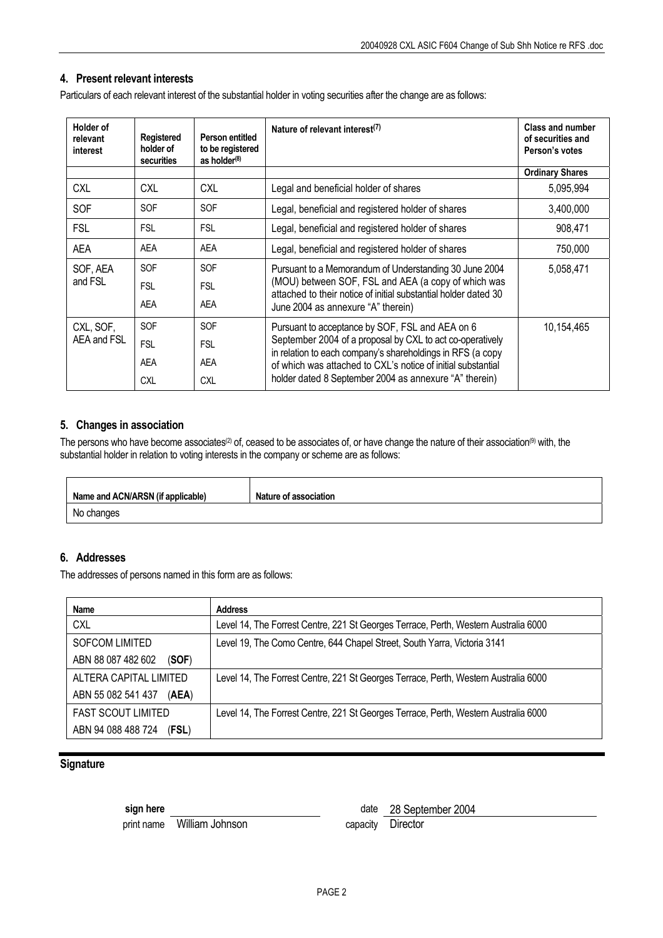## **4. Present relevant interests**

Particulars of each relevant interest of the substantial holder in voting securities after the change are as follows:

| <b>Holder of</b><br>relevant<br>interest | Registered<br>holder of<br>securities | Person entitled<br>to be registered<br>as holder <sup>(8)</sup> | Nature of relevant interest <sup>(7)</sup>                                                                                                                                                                                                        | <b>Class and number</b><br>of securities and<br>Person's votes |
|------------------------------------------|---------------------------------------|-----------------------------------------------------------------|---------------------------------------------------------------------------------------------------------------------------------------------------------------------------------------------------------------------------------------------------|----------------------------------------------------------------|
|                                          |                                       |                                                                 |                                                                                                                                                                                                                                                   | <b>Ordinary Shares</b>                                         |
| <b>CXL</b>                               | <b>CXL</b>                            | <b>CXL</b>                                                      | Legal and beneficial holder of shares                                                                                                                                                                                                             | 5,095,994                                                      |
| SOF                                      | <b>SOF</b>                            | <b>SOF</b>                                                      | Legal, beneficial and registered holder of shares                                                                                                                                                                                                 | 3,400,000                                                      |
| <b>FSL</b>                               | <b>FSL</b>                            | <b>FSL</b>                                                      | Legal, beneficial and registered holder of shares                                                                                                                                                                                                 | 908,471                                                        |
| AEA                                      | <b>AEA</b>                            | AEA                                                             | Legal, beneficial and registered holder of shares                                                                                                                                                                                                 | 750,000                                                        |
| SOF, AEA                                 | <b>SOF</b>                            | <b>SOF</b>                                                      | Pursuant to a Memorandum of Understanding 30 June 2004                                                                                                                                                                                            | 5,058,471                                                      |
| and FSL                                  | <b>FSL</b>                            | <b>FSL</b>                                                      | (MOU) between SOF, FSL and AEA (a copy of which was<br>attached to their notice of initial substantial holder dated 30<br>June 2004 as annexure "A" therein)                                                                                      |                                                                |
|                                          | AEA                                   | AEA                                                             |                                                                                                                                                                                                                                                   |                                                                |
| CXL, SOF,                                | <b>SOF</b>                            | <b>SOF</b>                                                      | Pursuant to acceptance by SOF, FSL and AEA on 6                                                                                                                                                                                                   | 10,154,465                                                     |
| AEA and FSL                              | <b>FSL</b>                            | <b>FSL</b>                                                      | September 2004 of a proposal by CXL to act co-operatively<br>in relation to each company's shareholdings in RFS (a copy<br>of which was attached to CXL's notice of initial substantial<br>holder dated 8 September 2004 as annexure "A" therein) |                                                                |
|                                          | <b>AEA</b>                            | <b>AEA</b>                                                      |                                                                                                                                                                                                                                                   |                                                                |
|                                          | <b>CXL</b>                            | <b>CXL</b>                                                      |                                                                                                                                                                                                                                                   |                                                                |

#### **5. Changes in association**

The persons who have become associates<sup>(2)</sup> of, ceased to be associates of, or have change the nature of their association<sup>(9)</sup> with, the substantial holder in relation to voting interests in the company or scheme are as follows:

| Name and ACN/ARSN (if applicable) | <b>Nature of association</b> |
|-----------------------------------|------------------------------|
| No changes                        |                              |

## **6. Addresses**

The addresses of persons named in this form are as follows:

| Name                        | <b>Address</b>                                                                      |
|-----------------------------|-------------------------------------------------------------------------------------|
| <b>CXL</b>                  | Level 14, The Forrest Centre, 221 St Georges Terrace, Perth, Western Australia 6000 |
| <b>SOFCOM LIMITED</b>       | Level 19, The Como Centre, 644 Chapel Street, South Yarra, Victoria 3141            |
| ABN 88 087 482 602<br>(SOF) |                                                                                     |
| ALTERA CAPITAL LIMITED      | Level 14, The Forrest Centre, 221 St Georges Terrace, Perth, Western Australia 6000 |
| ABN 55 082 541 437<br>(AEA) |                                                                                     |
| <b>FAST SCOUT LIMITED</b>   | Level 14, The Forrest Centre, 221 St Georges Terrace, Perth, Western Australia 6000 |
| ABN 94 088 488 724<br>(FSL) |                                                                                     |

### **Signature**

print name William Johnson capacity Director

**sign here** date 28 September 2004